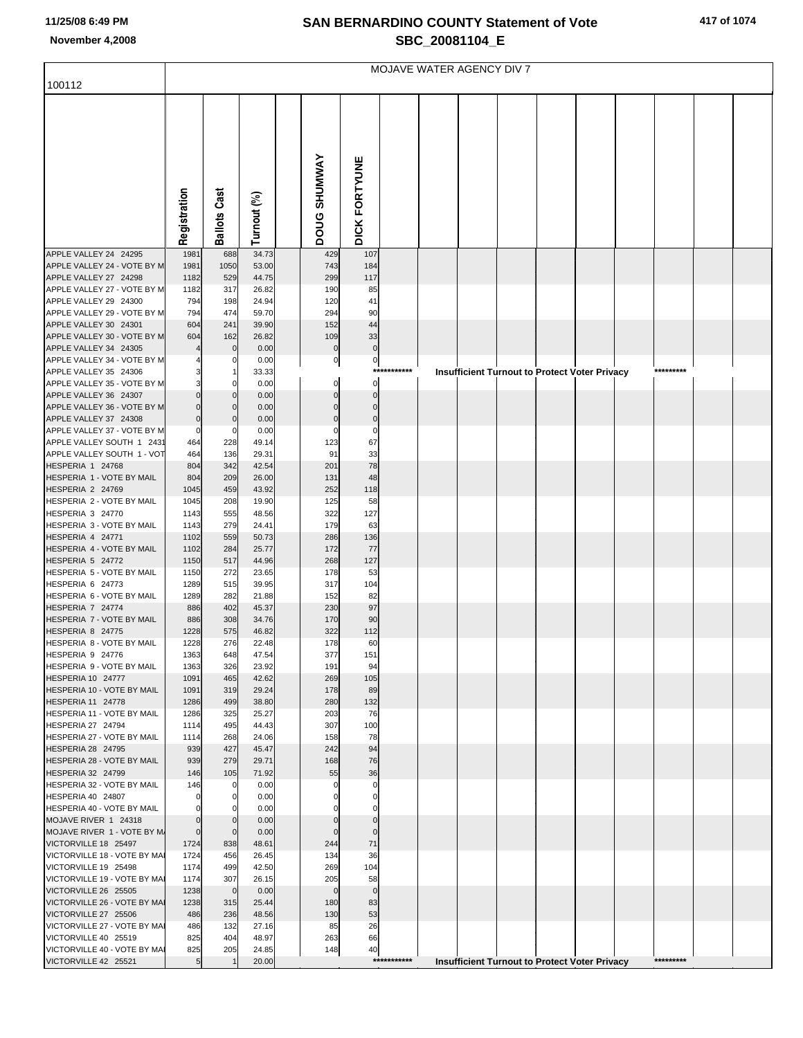## **SAN BERNARDINO COUNTY Statement of Vote November 4,2008 SBC\_20081104\_E**

| 417 of 1074 |  |
|-------------|--|
|-------------|--|

|                                                          | MOJAVE WATER AGENCY DIV 7 |                            |                |  |                     |                            |             |  |  |  |                                                      |           |  |
|----------------------------------------------------------|---------------------------|----------------------------|----------------|--|---------------------|----------------------------|-------------|--|--|--|------------------------------------------------------|-----------|--|
| 100112                                                   |                           |                            |                |  |                     |                            |             |  |  |  |                                                      |           |  |
|                                                          |                           |                            |                |  |                     |                            |             |  |  |  |                                                      |           |  |
|                                                          |                           |                            |                |  |                     |                            |             |  |  |  |                                                      |           |  |
|                                                          |                           |                            |                |  |                     |                            |             |  |  |  |                                                      |           |  |
|                                                          |                           |                            |                |  |                     |                            |             |  |  |  |                                                      |           |  |
|                                                          |                           |                            |                |  |                     |                            |             |  |  |  |                                                      |           |  |
|                                                          |                           |                            |                |  |                     |                            |             |  |  |  |                                                      |           |  |
|                                                          |                           |                            |                |  |                     |                            |             |  |  |  |                                                      |           |  |
|                                                          | Registration              | <b>Ballots Cast</b>        | Turnout (%)    |  | <b>DOUG SHUMWAY</b> | DICK FORTYUNE              |             |  |  |  |                                                      |           |  |
|                                                          |                           |                            |                |  |                     |                            |             |  |  |  |                                                      |           |  |
| APPLE VALLEY 24 24295<br>APPLE VALLEY 24 - VOTE BY M     | 1981<br>1981              | 688<br>1050                | 34.73<br>53.00 |  | 429<br>743          | 107<br>184                 |             |  |  |  |                                                      |           |  |
| APPLE VALLEY 27 24298                                    | 1182                      | 529                        | 44.75          |  | 299                 | 117                        |             |  |  |  |                                                      |           |  |
| APPLE VALLEY 27 - VOTE BY M                              | 1182                      | 317                        | 26.82          |  | 190                 | 85                         |             |  |  |  |                                                      |           |  |
| APPLE VALLEY 29 24300<br>APPLE VALLEY 29 - VOTE BY M     | 794<br>794                | 198<br>474                 | 24.94<br>59.70 |  | 120<br>294          | 41<br>90                   |             |  |  |  |                                                      |           |  |
| APPLE VALLEY 30 24301                                    | 604                       | 241                        | 39.90          |  | 152                 | 44                         |             |  |  |  |                                                      |           |  |
| APPLE VALLEY 30 - VOTE BY M                              | 604                       | 162                        | 26.82          |  | 109                 | 33                         |             |  |  |  |                                                      |           |  |
| APPLE VALLEY 34 24305<br>APPLE VALLEY 34 - VOTE BY M     |                           | $\mathbf{0}$<br>0          | 0.00<br>0.00   |  | $\bf{0}$<br>0       | $\mathbf 0$<br>$\mathbf 0$ |             |  |  |  |                                                      |           |  |
| APPLE VALLEY 35 24306                                    |                           |                            | 33.33          |  |                     |                            | *********** |  |  |  | <b>Insufficient Turnout to Protect Voter Privacy</b> | ********* |  |
| APPLE VALLEY 35 - VOTE BY M<br>APPLE VALLEY 36 24307     | $\Omega$                  | $\Omega$                   | 0.00<br>0.00   |  | 0<br>$\Omega$       | 0                          |             |  |  |  |                                                      |           |  |
| APPLE VALLEY 36 - VOTE BY M                              | $\Omega$                  | $\mathbf 0$                | 0.00           |  |                     | $\Omega$                   |             |  |  |  |                                                      |           |  |
| APPLE VALLEY 37 24308                                    | $\mathbf 0$               | $\mathbf{0}$               | 0.00           |  | 0                   | $\mathbf 0$                |             |  |  |  |                                                      |           |  |
| APPLE VALLEY 37 - VOTE BY M<br>APPLE VALLEY SOUTH 1 2431 | 0<br>464                  | $\Omega$<br>228            | 0.00<br>49.14  |  | 123                 | 0<br>67                    |             |  |  |  |                                                      |           |  |
| APPLE VALLEY SOUTH 1 - VOT                               | 464                       | 136                        | 29.31          |  | 91                  | 33                         |             |  |  |  |                                                      |           |  |
| HESPERIA 1 24768<br>HESPERIA 1 - VOTE BY MAIL            | 804<br>804                | 342<br>209                 | 42.54<br>26.00 |  | 201<br>131          | 78<br>48                   |             |  |  |  |                                                      |           |  |
| HESPERIA 2 24769                                         | 1045                      | 459                        | 43.92          |  | 252                 | 118                        |             |  |  |  |                                                      |           |  |
| HESPERIA 2 - VOTE BY MAIL                                | 1045                      | 208                        | 19.90          |  | 125                 | 58                         |             |  |  |  |                                                      |           |  |
| HESPERIA 3 24770<br>HESPERIA 3 - VOTE BY MAIL            | 1143<br>1143              | 555<br>279                 | 48.56<br>24.41 |  | 322<br>179          | 127<br>63                  |             |  |  |  |                                                      |           |  |
| HESPERIA 4 24771                                         | 1102                      | 559                        | 50.73          |  | 286                 | 136                        |             |  |  |  |                                                      |           |  |
| HESPERIA 4 - VOTE BY MAIL<br>HESPERIA 5 24772            | 1102<br>1150              | 284<br>517                 | 25.77<br>44.96 |  | 172<br>268          | 77<br>127                  |             |  |  |  |                                                      |           |  |
| HESPERIA 5 - VOTE BY MAIL                                | 1150                      | 272                        | 23.65          |  | 178                 | 53                         |             |  |  |  |                                                      |           |  |
| HESPERIA 6 24773                                         | 1289                      | 515                        | 39.95          |  | 317                 | 104                        |             |  |  |  |                                                      |           |  |
| HESPERIA 6 - VOTE BY MAIL<br>HESPERIA 7 24774            | 1289<br>886               | 282<br>402                 | 21.88<br>45.37 |  | 152<br>230          | 82<br>97                   |             |  |  |  |                                                      |           |  |
| HESPERIA 7 - VOTE BY MAIL                                | 886                       | 308                        | 34.76          |  | 170                 | 90                         |             |  |  |  |                                                      |           |  |
| HESPERIA 8 24775<br>HESPERIA 8 - VOTE BY MAIL            | 1228<br>1228              | 575<br>276                 | 46.82<br>22.48 |  | 322<br>178          | 112<br>60                  |             |  |  |  |                                                      |           |  |
| HESPERIA 9 24776                                         | 1363                      | 648                        | 47.54          |  | 377                 | 151                        |             |  |  |  |                                                      |           |  |
| HESPERIA 9 - VOTE BY MAIL                                | 1363                      | 326                        | 23.92          |  | 191                 | 94                         |             |  |  |  |                                                      |           |  |
| HESPERIA 10 24777<br>HESPERIA 10 - VOTE BY MAIL          | 1091<br>1091              | 465<br>319                 | 42.62<br>29.24 |  | 269<br>178          | 105<br>89                  |             |  |  |  |                                                      |           |  |
| HESPERIA 11 24778                                        | 1286                      | 499                        | 38.80          |  | 280                 | 132                        |             |  |  |  |                                                      |           |  |
| HESPERIA 11 - VOTE BY MAIL<br>HESPERIA 27 24794          | 1286<br>1114              | 325<br>495                 | 25.27<br>44.43 |  | 203<br>307          | 76<br>100                  |             |  |  |  |                                                      |           |  |
| HESPERIA 27 - VOTE BY MAIL                               | 1114                      | 268                        | 24.06          |  | 158                 | 78                         |             |  |  |  |                                                      |           |  |
| HESPERIA 28 24795                                        | 939                       | 427                        | 45.47          |  | 242                 | 94                         |             |  |  |  |                                                      |           |  |
| HESPERIA 28 - VOTE BY MAIL<br>HESPERIA 32 24799          | 939<br>146                | 279<br>105                 | 29.71<br>71.92 |  | 168<br>55           | 76<br>36                   |             |  |  |  |                                                      |           |  |
| HESPERIA 32 - VOTE BY MAIL                               | 146                       | 0                          | 0.00           |  |                     | 0                          |             |  |  |  |                                                      |           |  |
| HESPERIA 40 24807<br>HESPERIA 40 - VOTE BY MAIL          | $\mathbf 0$<br>$\Omega$   | $\mathbf 0$<br>$\mathbf 0$ | 0.00<br>0.00   |  |                     | $\Omega$                   |             |  |  |  |                                                      |           |  |
| MOJAVE RIVER 1 24318                                     | $\Omega$                  | $\mathbf 0$                | 0.00           |  |                     | $\Omega$                   |             |  |  |  |                                                      |           |  |
| MOJAVE RIVER 1 - VOTE BY M.                              | $\mathbf 0$               | $\mathbf 0$                | 0.00           |  | $\Omega$            | $\Omega$                   |             |  |  |  |                                                      |           |  |
| VICTORVILLE 18 25497<br>VICTORVILLE 18 - VOTE BY MAI     | 1724<br>1724              | 838<br>456                 | 48.61<br>26.45 |  | 244<br>134          | 71<br>36                   |             |  |  |  |                                                      |           |  |
| VICTORVILLE 19 25498                                     | 1174                      | 499                        | 42.50          |  | 269                 | 104                        |             |  |  |  |                                                      |           |  |
| VICTORVILLE 19 - VOTE BY MAI<br>VICTORVILLE 26 25505     | 1174<br>1238              | 307<br>$\mathbf 0$         | 26.15<br>0.00  |  | 205<br>$\mathbf 0$  | 58<br>$\mathbf 0$          |             |  |  |  |                                                      |           |  |
| VICTORVILLE 26 - VOTE BY MAI                             | 1238                      | 315                        | 25.44          |  | 180                 | 83                         |             |  |  |  |                                                      |           |  |
| VICTORVILLE 27 25506                                     | 486                       | 236                        | 48.56          |  | 130                 | 53                         |             |  |  |  |                                                      |           |  |
| VICTORVILLE 27 - VOTE BY MAI<br>VICTORVILLE 40 25519     | 486<br>825                | 132<br>404                 | 27.16<br>48.97 |  | 85<br>263           | 26<br>66                   |             |  |  |  |                                                      |           |  |
| VICTORVILLE 40 - VOTE BY MAI                             | 825                       | 205                        | 24.85          |  | 148                 | 40                         |             |  |  |  |                                                      |           |  |
| VICTORVILLE 42 25521                                     | 5                         |                            | 20.00          |  |                     |                            | *********** |  |  |  | <b>Insufficient Turnout to Protect Voter Privacy</b> | ********* |  |